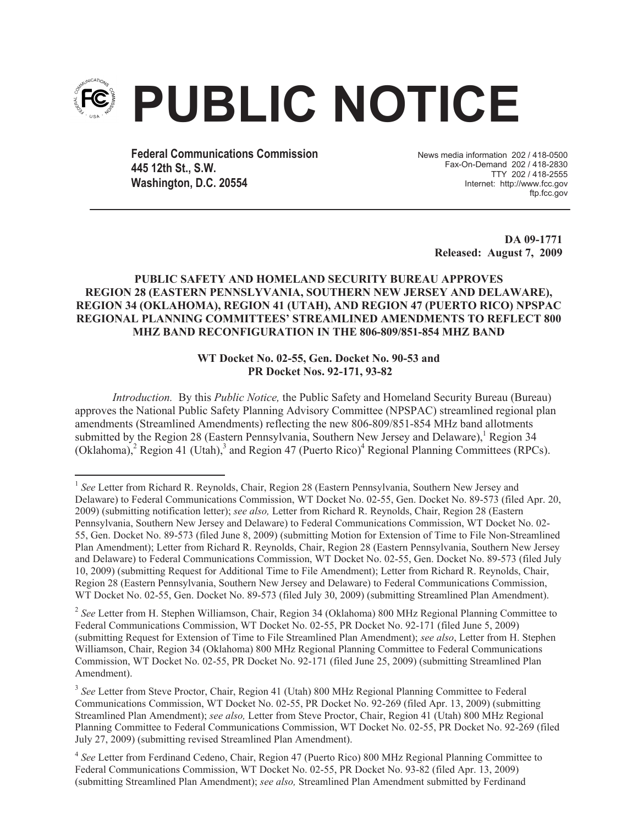

**Federal Communications Commission 445 12th St., S.W. Washington, D.C. 20554**

News media information 202 / 418-0500 Fax-On-Demand 202 / 418-2830 TTY 202 / 418-2555 Internet: http://www.fcc.gov ftp.fcc.gov

> **DA 09-1771 Released: August 7, 2009**

## **PUBLIC SAFETY AND HOMELAND SECURITY BUREAU APPROVES REGION 28 (EASTERN PENNSLYVANIA, SOUTHERN NEW JERSEY AND DELAWARE), REGION 34 (OKLAHOMA), REGION 41 (UTAH), AND REGION 47 (PUERTO RICO) NPSPAC REGIONAL PLANNING COMMITTEES' STREAMLINED AMENDMENTS TO REFLECT 800 MHZ BAND RECONFIGURATION IN THE 806-809/851-854 MHZ BAND**

## **WT Docket No. 02-55, Gen. Docket No. 90-53 and PR Docket Nos. 92-171, 93-82**

*Introduction.* By this *Public Notice,* the Public Safety and Homeland Security Bureau (Bureau) approves the National Public Safety Planning Advisory Committee (NPSPAC) streamlined regional plan amendments (Streamlined Amendments) reflecting the new 806-809/851-854 MHz band allotments submitted by the Region 28 (Eastern Pennsylvania, Southern New Jersey and Delaware),<sup>1</sup> Region 34 (Oklahoma),<sup>2</sup> Region 41 (Utah),<sup>3</sup> and Region 47 (Puerto Rico)<sup>4</sup> Regional Planning Committees (RPCs).

<sup>&</sup>lt;sup>1</sup> See Letter from Richard R. Reynolds, Chair, Region 28 (Eastern Pennsylvania, Southern New Jersey and Delaware) to Federal Communications Commission, WT Docket No. 02-55, Gen. Docket No. 89-573 (filed Apr. 20, 2009) (submitting notification letter); *see also,* Letter from Richard R. Reynolds, Chair, Region 28 (Eastern Pennsylvania, Southern New Jersey and Delaware) to Federal Communications Commission, WT Docket No. 02- 55, Gen. Docket No. 89-573 (filed June 8, 2009) (submitting Motion for Extension of Time to File Non-Streamlined Plan Amendment); Letter from Richard R. Reynolds, Chair, Region 28 (Eastern Pennsylvania, Southern New Jersey and Delaware) to Federal Communications Commission, WT Docket No. 02-55, Gen. Docket No. 89-573 (filed July 10, 2009) (submitting Request for Additional Time to File Amendment); Letter from Richard R. Reynolds, Chair, Region 28 (Eastern Pennsylvania, Southern New Jersey and Delaware) to Federal Communications Commission, WT Docket No. 02-55, Gen. Docket No. 89-573 (filed July 30, 2009) (submitting Streamlined Plan Amendment).

<sup>&</sup>lt;sup>2</sup> See Letter from H. Stephen Williamson, Chair, Region 34 (Oklahoma) 800 MHz Regional Planning Committee to Federal Communications Commission, WT Docket No. 02-55, PR Docket No. 92-171 (filed June 5, 2009) (submitting Request for Extension of Time to File Streamlined Plan Amendment); *see also*, Letter from H. Stephen Williamson, Chair, Region 34 (Oklahoma) 800 MHz Regional Planning Committee to Federal Communications Commission, WT Docket No. 02-55, PR Docket No. 92-171 (filed June 25, 2009) (submitting Streamlined Plan Amendment).

<sup>&</sup>lt;sup>3</sup> See Letter from Steve Proctor, Chair, Region 41 (Utah) 800 MHz Regional Planning Committee to Federal Communications Commission, WT Docket No. 02-55, PR Docket No. 92-269 (filed Apr. 13, 2009) (submitting Streamlined Plan Amendment); *see also,* Letter from Steve Proctor, Chair, Region 41 (Utah) 800 MHz Regional Planning Committee to Federal Communications Commission, WT Docket No. 02-55, PR Docket No. 92-269 (filed July 27, 2009) (submitting revised Streamlined Plan Amendment).

<sup>&</sup>lt;sup>4</sup> See Letter from Ferdinand Cedeno, Chair, Region 47 (Puerto Rico) 800 MHz Regional Planning Committee to Federal Communications Commission, WT Docket No. 02-55, PR Docket No. 93-82 (filed Apr. 13, 2009) (submitting Streamlined Plan Amendment); *see also,* Streamlined Plan Amendment submitted by Ferdinand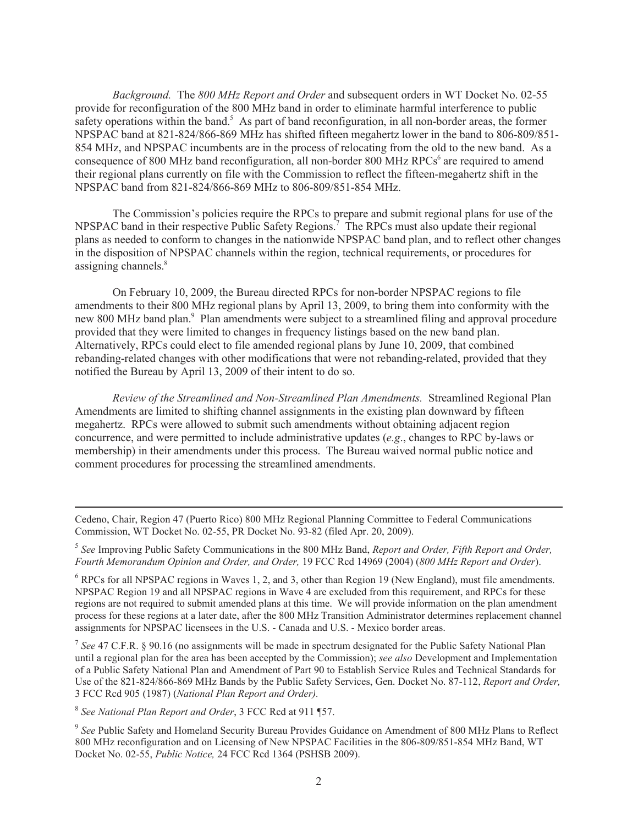*Background.* The *800 MHz Report and Order* and subsequent orders in WT Docket No. 02-55 provide for reconfiguration of the 800 MHz band in order to eliminate harmful interference to public safety operations within the band.<sup>5</sup> As part of band reconfiguration, in all non-border areas, the former NPSPAC band at 821-824/866-869 MHz has shifted fifteen megahertz lower in the band to 806-809/851- 854 MHz, and NPSPAC incumbents are in the process of relocating from the old to the new band. As a consequence of 800 MHz band reconfiguration, all non-border 800 MHz RPCs<sup>6</sup> are required to amend their regional plans currently on file with the Commission to reflect the fifteen-megahertz shift in the NPSPAC band from 821-824/866-869 MHz to 806-809/851-854 MHz.

The Commission's policies require the RPCs to prepare and submit regional plans for use of the NPSPAC band in their respective Public Safety Regions.<sup>7</sup> The RPCs must also update their regional plans as needed to conform to changes in the nationwide NPSPAC band plan, and to reflect other changes in the disposition of NPSPAC channels within the region, technical requirements, or procedures for assigning channels.<sup>8</sup>

On February 10, 2009, the Bureau directed RPCs for non-border NPSPAC regions to file amendments to their 800 MHz regional plans by April 13, 2009, to bring them into conformity with the new 800 MHz band plan.<sup>9</sup> Plan amendments were subject to a streamlined filing and approval procedure provided that they were limited to changes in frequency listings based on the new band plan. Alternatively, RPCs could elect to file amended regional plans by June 10, 2009, that combined rebanding-related changes with other modifications that were not rebanding-related, provided that they notified the Bureau by April 13, 2009 of their intent to do so.

*Review of the Streamlined and Non-Streamlined Plan Amendments.* Streamlined Regional Plan Amendments are limited to shifting channel assignments in the existing plan downward by fifteen megahertz. RPCs were allowed to submit such amendments without obtaining adjacent region concurrence, and were permitted to include administrative updates (*e.g*., changes to RPC by-laws or membership) in their amendments under this process. The Bureau waived normal public notice and comment procedures for processing the streamlined amendments.

<sup>6</sup> RPCs for all NPSPAC regions in Waves 1, 2, and 3, other than Region 19 (New England), must file amendments. NPSPAC Region 19 and all NPSPAC regions in Wave 4 are excluded from this requirement, and RPCs for these regions are not required to submit amended plans at this time. We will provide information on the plan amendment process for these regions at a later date, after the 800 MHz Transition Administrator determines replacement channel assignments for NPSPAC licensees in the U.S. - Canada and U.S. - Mexico border areas.

7 *See* 47 C.F.R. § 90.16 (no assignments will be made in spectrum designated for the Public Safety National Plan until a regional plan for the area has been accepted by the Commission); *see also* Development and Implementation of a Public Safety National Plan and Amendment of Part 90 to Establish Service Rules and Technical Standards for Use of the 821-824/866-869 MHz Bands by the Public Safety Services, Gen. Docket No. 87-112, *Report and Order,*  3 FCC Rcd 905 (1987) (*National Plan Report and Order).*

8 *See National Plan Report and Order*, 3 FCC Rcd at 911 ¶57.

<sup>9</sup> See Public Safety and Homeland Security Bureau Provides Guidance on Amendment of 800 MHz Plans to Reflect 800 MHz reconfiguration and on Licensing of New NPSPAC Facilities in the 806-809/851-854 MHz Band, WT Docket No. 02-55, *Public Notice,* 24 FCC Rcd 1364 (PSHSB 2009).

Cedeno, Chair, Region 47 (Puerto Rico) 800 MHz Regional Planning Committee to Federal Communications Commission, WT Docket No. 02-55, PR Docket No. 93-82 (filed Apr. 20, 2009).

<sup>5</sup> *See* Improving Public Safety Communications in the 800 MHz Band, *Report and Order, Fifth Report and Order, Fourth Memorandum Opinion and Order, and Order,* 19 FCC Rcd 14969 (2004) (*800 MHz Report and Order*).